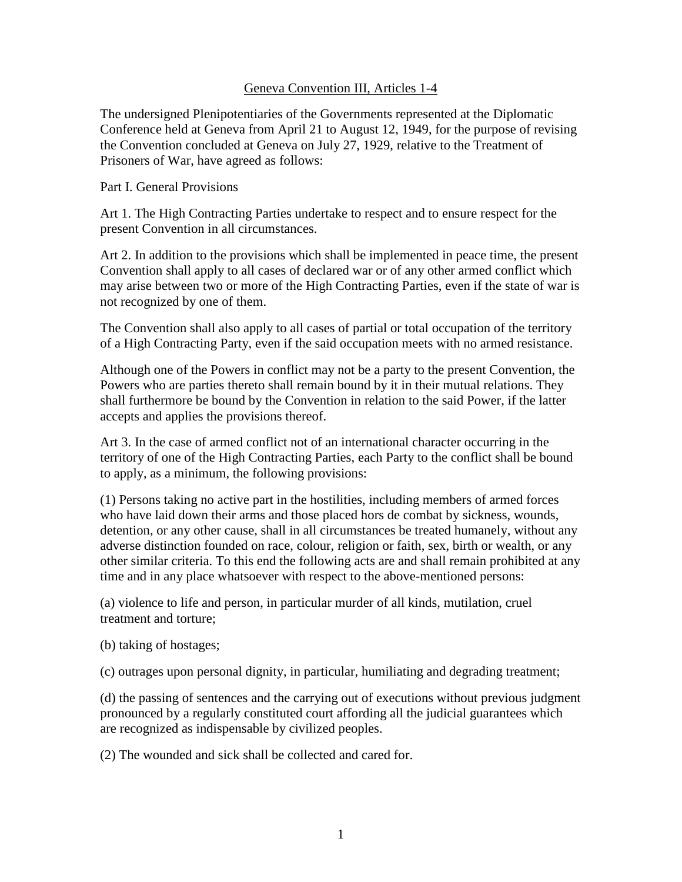## Geneva Convention III, Articles 1-4

The undersigned Plenipotentiaries of the Governments represented at the Diplomatic Conference held at Geneva from April 21 to August 12, 1949, for the purpose of revising the Convention concluded at Geneva on July 27, 1929, relative to the Treatment of Prisoners of War, have agreed as follows:

## Part I. General Provisions

Art 1. The High Contracting Parties undertake to respect and to ensure respect for the present Convention in all circumstances.

Art 2. In addition to the provisions which shall be implemented in peace time, the present Convention shall apply to all cases of declared war or of any other armed conflict which may arise between two or more of the High Contracting Parties, even if the state of war is not recognized by one of them.

The Convention shall also apply to all cases of partial or total occupation of the territory of a High Contracting Party, even if the said occupation meets with no armed resistance.

Although one of the Powers in conflict may not be a party to the present Convention, the Powers who are parties thereto shall remain bound by it in their mutual relations. They shall furthermore be bound by the Convention in relation to the said Power, if the latter accepts and applies the provisions thereof.

Art 3. In the case of armed conflict not of an international character occurring in the territory of one of the High Contracting Parties, each Party to the conflict shall be bound to apply, as a minimum, the following provisions:

(1) Persons taking no active part in the hostilities, including members of armed forces who have laid down their arms and those placed hors de combat by sickness, wounds, detention, or any other cause, shall in all circumstances be treated humanely, without any adverse distinction founded on race, colour, religion or faith, sex, birth or wealth, or any other similar criteria. To this end the following acts are and shall remain prohibited at any time and in any place whatsoever with respect to the above-mentioned persons:

(a) violence to life and person, in particular murder of all kinds, mutilation, cruel treatment and torture;

(b) taking of hostages;

(c) outrages upon personal dignity, in particular, humiliating and degrading treatment;

(d) the passing of sentences and the carrying out of executions without previous judgment pronounced by a regularly constituted court affording all the judicial guarantees which are recognized as indispensable by civilized peoples.

(2) The wounded and sick shall be collected and cared for.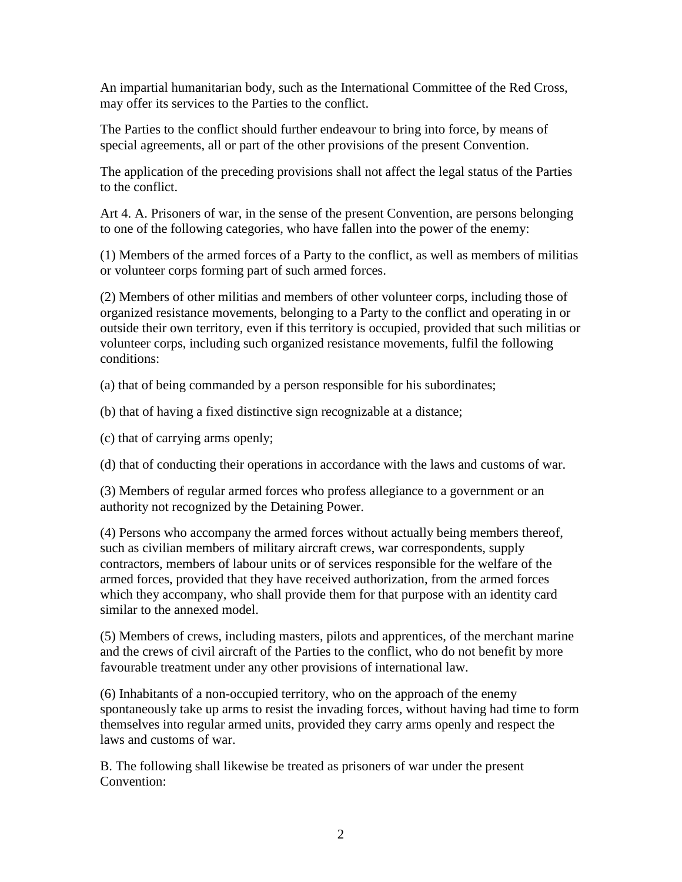An impartial humanitarian body, such as the International Committee of the Red Cross, may offer its services to the Parties to the conflict.

The Parties to the conflict should further endeavour to bring into force, by means of special agreements, all or part of the other provisions of the present Convention.

The application of the preceding provisions shall not affect the legal status of the Parties to the conflict.

Art 4. A. Prisoners of war, in the sense of the present Convention, are persons belonging to one of the following categories, who have fallen into the power of the enemy:

(1) Members of the armed forces of a Party to the conflict, as well as members of militias or volunteer corps forming part of such armed forces.

(2) Members of other militias and members of other volunteer corps, including those of organized resistance movements, belonging to a Party to the conflict and operating in or outside their own territory, even if this territory is occupied, provided that such militias or volunteer corps, including such organized resistance movements, fulfil the following conditions:

(a) that of being commanded by a person responsible for his subordinates;

(b) that of having a fixed distinctive sign recognizable at a distance;

(c) that of carrying arms openly;

(d) that of conducting their operations in accordance with the laws and customs of war.

(3) Members of regular armed forces who profess allegiance to a government or an authority not recognized by the Detaining Power.

(4) Persons who accompany the armed forces without actually being members thereof, such as civilian members of military aircraft crews, war correspondents, supply contractors, members of labour units or of services responsible for the welfare of the armed forces, provided that they have received authorization, from the armed forces which they accompany, who shall provide them for that purpose with an identity card similar to the annexed model.

(5) Members of crews, including masters, pilots and apprentices, of the merchant marine and the crews of civil aircraft of the Parties to the conflict, who do not benefit by more favourable treatment under any other provisions of international law.

(6) Inhabitants of a non-occupied territory, who on the approach of the enemy spontaneously take up arms to resist the invading forces, without having had time to form themselves into regular armed units, provided they carry arms openly and respect the laws and customs of war.

B. The following shall likewise be treated as prisoners of war under the present Convention: